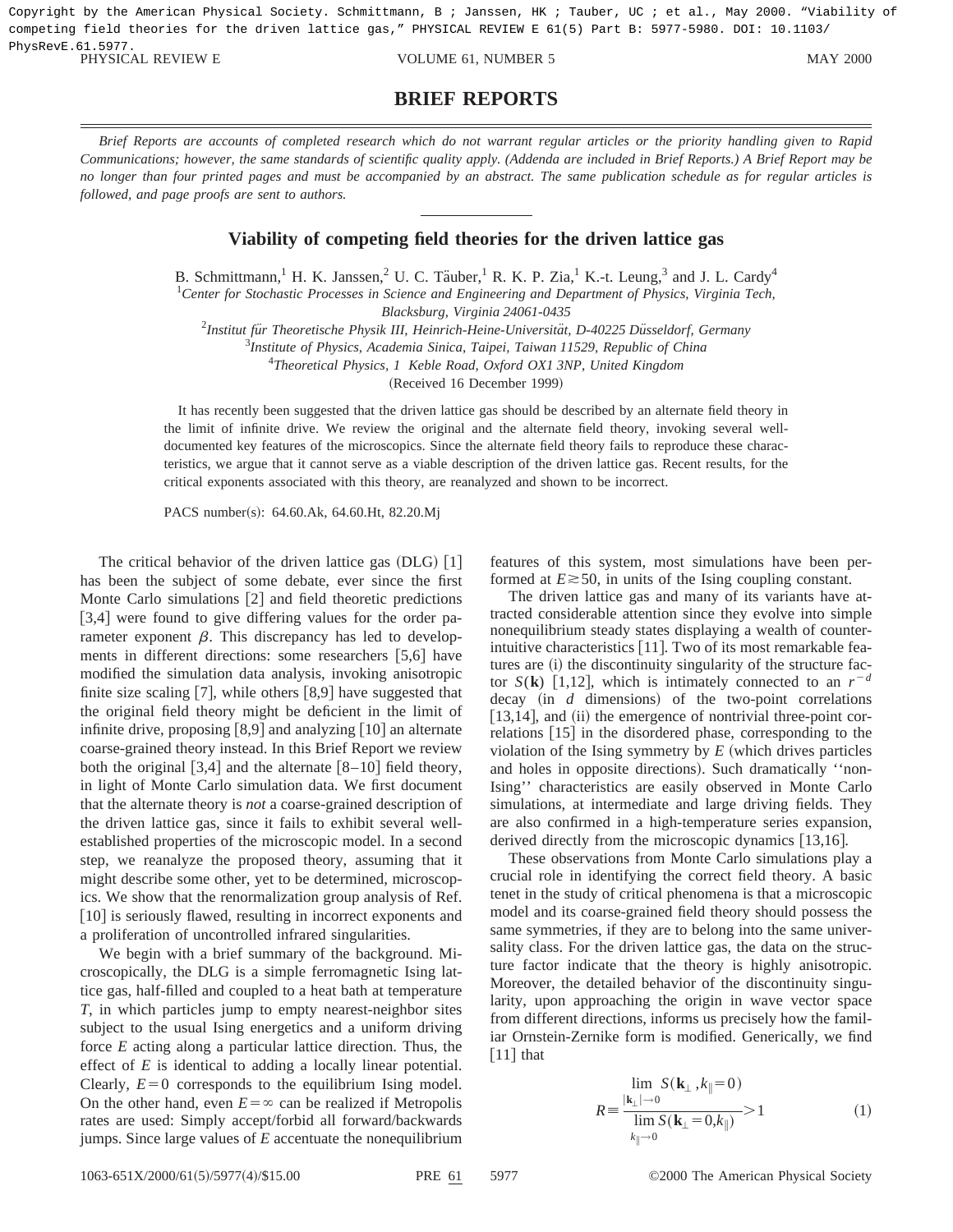Copyright by the American Physical Society. Schmittmann, B ; Janssen, HK ; Tauber, UC ; et al., May 2000. "Viability of competing field theories for the driven lattice gas," PHYSICAL REVIEW E 61(5) Part B: 5977-5980. DOI: 10.1103/ PhysRevE.61.5977.

PHYSICAL REVIEW E VOLUME 61, NUMBER 5 MAY 2000

## **BRIEF REPORTS**

*Brief Reports are accounts of completed research which do not warrant regular articles or the priority handling given to Rapid Communications; however, the same standards of scientific quality apply. (Addenda are included in Brief Reports.) A Brief Report may be no longer than four printed pages and must be accompanied by an abstract. The same publication schedule as for regular articles is followed, and page proofs are sent to authors.*

## **Viability of competing field theories for the driven lattice gas**

B. Schmittmann,<sup>1</sup> H. K. Janssen,<sup>2</sup> U. C. Täuber,<sup>1</sup> R. K. P. Zia,<sup>1</sup> K.-t. Leung,<sup>3</sup> and J. L. Cardy<sup>4</sup> 1 *Center for Stochastic Processes in Science and Engineering and Department of Physics, Virginia Tech,*

*Blacksburg, Virginia 24061-0435*

<sup>2</sup>Institut für Theoretische Physik III, Heinrich-Heine-Universität, D-40225 Düsseldorf, Germany

3 *Institute of Physics, Academia Sinica, Taipei, Taiwan 11529, Republic of China*

4 *Theoretical Physics, 1 Keble Road, Oxford OX1 3NP, United Kingdom*

(Received 16 December 1999)

It has recently been suggested that the driven lattice gas should be described by an alternate field theory in the limit of infinite drive. We review the original and the alternate field theory, invoking several welldocumented key features of the microscopics. Since the alternate field theory fails to reproduce these characteristics, we argue that it cannot serve as a viable description of the driven lattice gas. Recent results, for the critical exponents associated with this theory, are reanalyzed and shown to be incorrect.

PACS number(s): 64.60.Ak, 64.60.Ht, 82.20.Mj

The critical behavior of the driven lattice gas  $(DLG)$  [1] has been the subject of some debate, ever since the first Monte Carlo simulations  $[2]$  and field theoretic predictions [3,4] were found to give differing values for the order parameter exponent  $\beta$ . This discrepancy has led to developments in different directions: some researchers  $[5,6]$  have modified the simulation data analysis, invoking anisotropic finite size scaling  $[7]$ , while others  $[8,9]$  have suggested that the original field theory might be deficient in the limit of infinite drive, proposing  $[8,9]$  and analyzing  $[10]$  an alternate coarse-grained theory instead. In this Brief Report we review both the original  $[3,4]$  and the alternate  $[8-10]$  field theory, in light of Monte Carlo simulation data. We first document that the alternate theory is *not* a coarse-grained description of the driven lattice gas, since it fails to exhibit several wellestablished properties of the microscopic model. In a second step, we reanalyze the proposed theory, assuming that it might describe some other, yet to be determined, microscopics. We show that the renormalization group analysis of Ref. [10] is seriously flawed, resulting in incorrect exponents and a proliferation of uncontrolled infrared singularities.

We begin with a brief summary of the background. Microscopically, the DLG is a simple ferromagnetic Ising lattice gas, half-filled and coupled to a heat bath at temperature *T*, in which particles jump to empty nearest-neighbor sites subject to the usual Ising energetics and a uniform driving force *E* acting along a particular lattice direction. Thus, the effect of *E* is identical to adding a locally linear potential. Clearly,  $E=0$  corresponds to the equilibrium Ising model. On the other hand, even  $E = \infty$  can be realized if Metropolis rates are used: Simply accept/forbid all forward/backwards jumps. Since large values of *E* accentuate the nonequilibrium features of this system, most simulations have been performed at  $E \ge 50$ , in units of the Ising coupling constant.

The driven lattice gas and many of its variants have attracted considerable attention since they evolve into simple nonequilibrium steady states displaying a wealth of counterintuitive characteristics  $[11]$ . Two of its most remarkable features are  $(i)$  the discontinuity singularity of the structure factor *S*(**k**) [1,12], which is intimately connected to an  $r^{-d}$  $decay (in d dimensions) of the two-point correlations$  $[13,14]$ , and  $(ii)$  the emergence of nontrivial three-point correlations  $[15]$  in the disordered phase, corresponding to the violation of the Ising symmetry by  $E$  (which drives particles and holes in opposite directions). Such dramatically "non-Ising'' characteristics are easily observed in Monte Carlo simulations, at intermediate and large driving fields. They are also confirmed in a high-temperature series expansion, derived directly from the microscopic dynamics  $\vert 13,16 \vert$ .

These observations from Monte Carlo simulations play a crucial role in identifying the correct field theory. A basic tenet in the study of critical phenomena is that a microscopic model and its coarse-grained field theory should possess the same symmetries, if they are to belong into the same universality class. For the driven lattice gas, the data on the structure factor indicate that the theory is highly anisotropic. Moreover, the detailed behavior of the discontinuity singularity, upon approaching the origin in wave vector space from different directions, informs us precisely how the familiar Ornstein-Zernike form is modified. Generically, we find  $\lceil 11 \rceil$  that

$$
R = \frac{\lim_{|\mathbf{k}_{\perp}| \to 0} S(\mathbf{k}_{\perp}, k_{\parallel} = 0)}{\lim_{k_{\parallel} \to 0} S(\mathbf{k}_{\perp} = 0, k_{\parallel})} > 1
$$
 (1)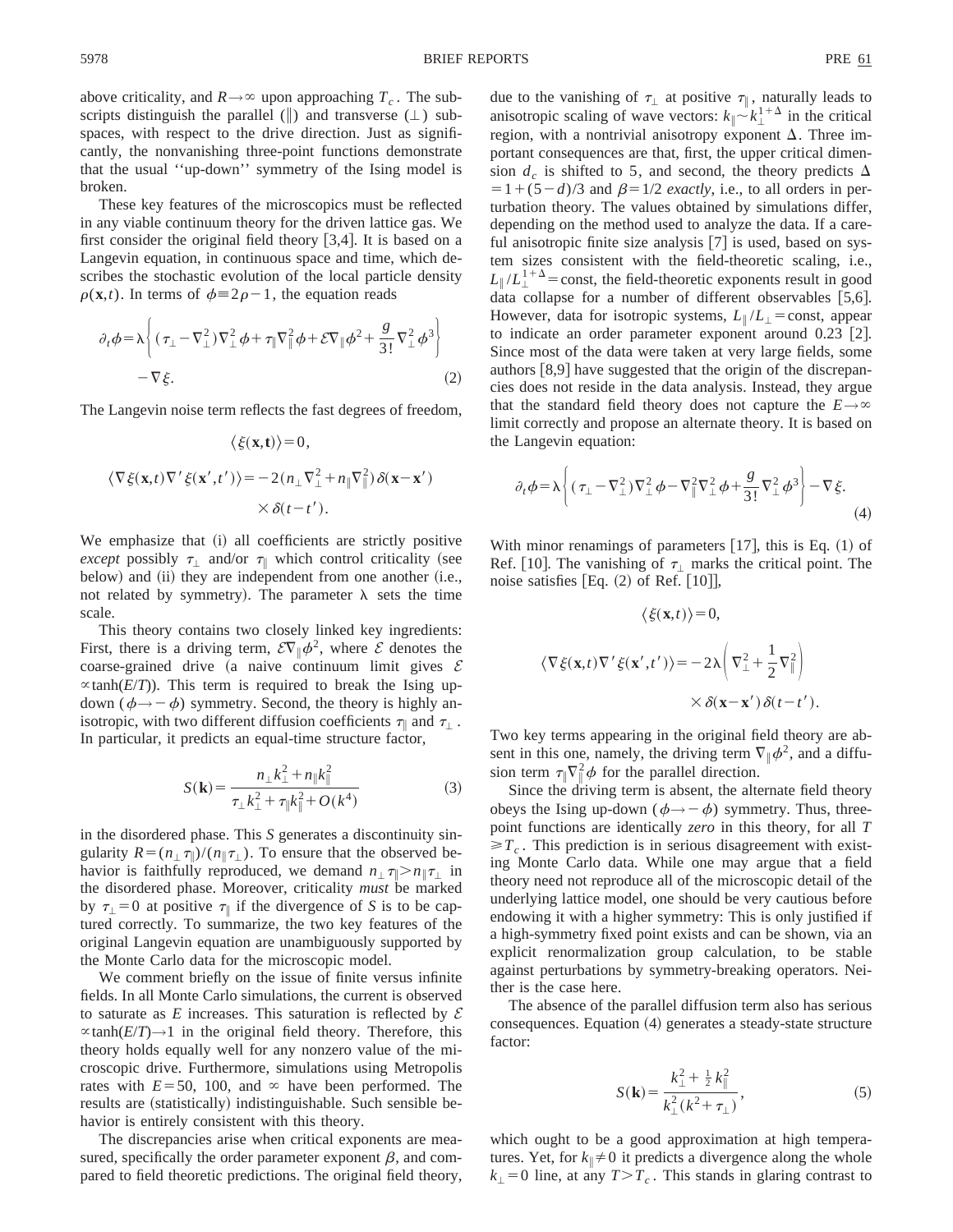above criticality, and  $R \rightarrow \infty$  upon approaching  $T_c$ . The subscripts distinguish the parallel ( $\parallel$ ) and transverse ( $\perp$ ) subspaces, with respect to the drive direction. Just as significantly, the nonvanishing three-point functions demonstrate that the usual ''up-down'' symmetry of the Ising model is broken.

These key features of the microscopics must be reflected in any viable continuum theory for the driven lattice gas. We first consider the original field theory  $[3,4]$ . It is based on a Langevin equation, in continuous space and time, which describes the stochastic evolution of the local particle density  $\rho(\mathbf{x},t)$ . In terms of  $\phi \equiv 2\rho - 1$ , the equation reads

$$
\partial_t \phi = \lambda \left\{ (\tau_\perp - \nabla_\perp^2) \nabla_\perp^2 \phi + \tau_\parallel \nabla_\parallel^2 \phi + \mathcal{E} \nabla_\parallel \phi^2 + \frac{g}{3!} \nabla_\perp^2 \phi^3 \right\}
$$
  
- 
$$
\nabla \xi.
$$
 (2)

The Langevin noise term reflects the fast degrees of freedom,

$$
\langle \xi(\mathbf{x},t) \rangle = 0,
$$
  

$$
\langle \nabla \xi(\mathbf{x},t) \nabla' \xi(\mathbf{x}',t') \rangle = -2(n_{\perp} \nabla_{\perp}^2 + n_{\parallel} \nabla_{\parallel}^2) \delta(\mathbf{x} - \mathbf{x}')
$$

$$
\times \delta(t - t').
$$

We emphasize that (i) all coefficients are strictly positive *except* possibly  $\tau_{\perp}$  and/or  $\tau_{\parallel}$  which control criticality (see below) and (ii) they are independent from one another (i.e., not related by symmetry). The parameter  $\lambda$  sets the time scale.

This theory contains two closely linked key ingredients: First, there is a driving term,  $\mathcal{E}\nabla_{\parallel}\phi^2$ , where  $\mathcal E$  denotes the coarse-grained drive (a naive continuum limit gives  $\mathcal E$  $\propto$ tanh(*E*/*T*)). This term is required to break the Ising updown ( $\phi \rightarrow -\phi$ ) symmetry. Second, the theory is highly anisotropic, with two different diffusion coefficients  $\tau_{\parallel}$  and  $\tau_{\perp}$ . In particular, it predicts an equal-time structure factor,

$$
S(\mathbf{k}) = \frac{n_{\perp}k_{\perp}^2 + n_{\parallel}k_{\parallel}^2}{\tau_{\perp}k_{\perp}^2 + \tau_{\parallel}k_{\parallel}^2 + O(k^4)}
$$
(3)

in the disordered phase. This *S* generates a discontinuity singularity  $R = (n_+ \tau_{\parallel})/(n_{\parallel} \tau_{\perp})$ . To ensure that the observed behavior is faithfully reproduced, we demand  $n_1 \tau \gg n_{\parallel} \tau_1$  in the disordered phase. Moreover, criticality *must* be marked by  $\tau_{\perp}=0$  at positive  $\tau_{\parallel}$  if the divergence of *S* is to be captured correctly. To summarize, the two key features of the original Langevin equation are unambiguously supported by the Monte Carlo data for the microscopic model.

We comment briefly on the issue of finite versus infinite fields. In all Monte Carlo simulations, the current is observed to saturate as  $E$  increases. This saturation is reflected by  $E$  $\propto$ tanh(*E*/*T*) $\rightarrow$ 1 in the original field theory. Therefore, this theory holds equally well for any nonzero value of the microscopic drive. Furthermore, simulations using Metropolis rates with  $E=50$ , 100, and  $\infty$  have been performed. The results are (statistically) indistinguishable. Such sensible behavior is entirely consistent with this theory.

The discrepancies arise when critical exponents are measured, specifically the order parameter exponent  $\beta$ , and compared to field theoretic predictions. The original field theory,

due to the vanishing of  $\tau_{\perp}$  at positive  $\tau_{\parallel}$ , naturally leads to anisotropic scaling of wave vectors:  $k_{\parallel} \sim k_{\perp}^{1+\Delta}$  in the critical region, with a nontrivial anisotropy exponent  $\Delta$ . Three important consequences are that, first, the upper critical dimension  $d_c$  is shifted to 5, and second, the theory predicts  $\Delta$  $=1+(5-d)/3$  and  $\beta=1/2$  *exactly*, i.e., to all orders in perturbation theory. The values obtained by simulations differ, depending on the method used to analyze the data. If a careful anisotropic finite size analysis  $[7]$  is used, based on system sizes consistent with the field-theoretic scaling, i.e.,  $L_{\parallel}/L_{\perp}^{1+\Delta}$  = const, the field-theoretic exponents result in good data collapse for a number of different observables  $[5,6]$ . However, data for isotropic systems,  $L_{\parallel}/L_{\perp}$  = const, appear to indicate an order parameter exponent around  $0.23$  [2]. Since most of the data were taken at very large fields, some authors  $[8,9]$  have suggested that the origin of the discrepancies does not reside in the data analysis. Instead, they argue that the standard field theory does not capture the  $E \rightarrow \infty$ limit correctly and propose an alternate theory. It is based on the Langevin equation:

$$
\partial_t \phi = \lambda \left( (\tau_\perp - \nabla_\perp^2) \nabla_\perp^2 \phi - \nabla_\parallel^2 \nabla_\perp^2 \phi + \frac{g}{3!} \nabla_\perp^2 \phi^3 \right) - \nabla \xi. \tag{4}
$$

With minor renamings of parameters  $[17]$ , this is Eq.  $(1)$  of Ref. [10]. The vanishing of  $\tau_{\perp}$  marks the critical point. The noise satisfies  $Eq. (2)$  of Ref.  $[10]$ ,

$$
\langle \xi(\mathbf{x},t) \rangle = 0,
$$
  

$$
\langle \nabla \xi(\mathbf{x},t) \nabla' \xi(\mathbf{x}',t') \rangle = -2\lambda \left( \nabla_{\perp}^2 + \frac{1}{2} \nabla_{\parallel}^2 \right)
$$
  

$$
\times \delta(\mathbf{x} - \mathbf{x}') \delta(t - t').
$$

Two key terms appearing in the original field theory are absent in this one, namely, the driving term  $\nabla$ <sub>i</sub> $\phi^2$ , and a diffusion term  $\tau \nabla^2 \phi$  for the parallel direction.

Since the driving term is absent, the alternate field theory obeys the Ising up-down ( $\phi \rightarrow -\phi$ ) symmetry. Thus, threepoint functions are identically *zero* in this theory, for all *T*  $\geq T_c$ . This prediction is in serious disagreement with existing Monte Carlo data. While one may argue that a field theory need not reproduce all of the microscopic detail of the underlying lattice model, one should be very cautious before endowing it with a higher symmetry: This is only justified if a high-symmetry fixed point exists and can be shown, via an explicit renormalization group calculation, to be stable against perturbations by symmetry-breaking operators. Neither is the case here.

The absence of the parallel diffusion term also has serious consequences. Equation (4) generates a steady-state structure factor:

$$
S(\mathbf{k}) = \frac{k_{\perp}^2 + \frac{1}{2}k_{\parallel}^2}{k_{\perp}^2(k^2 + \tau_{\perp})},
$$
 (5)

which ought to be a good approximation at high temperatures. Yet, for  $k_{\parallel} \neq 0$  it predicts a divergence along the whole  $k_{\perp}$  = 0 line, at any *T* > *T<sub>c</sub>*. This stands in glaring contrast to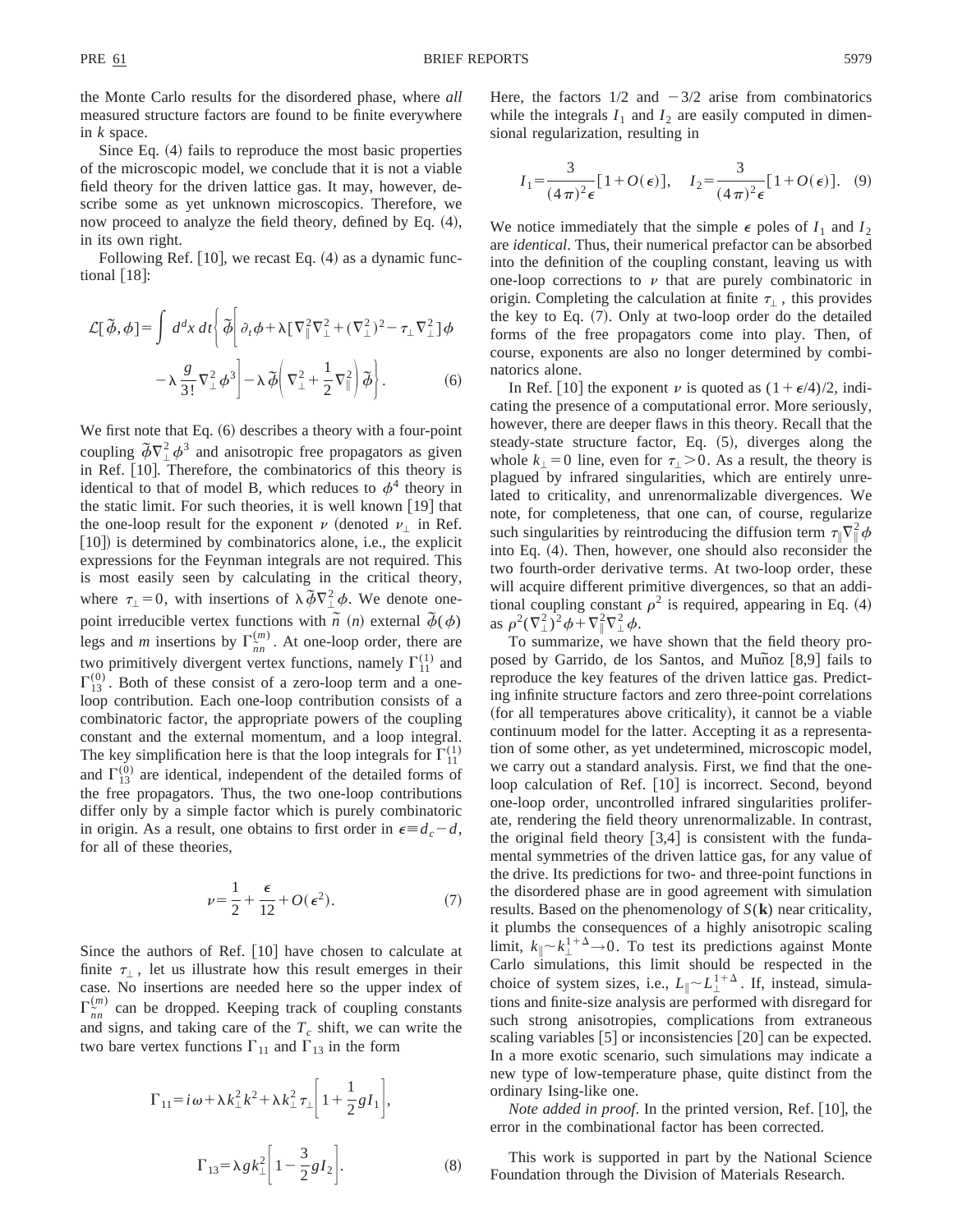Since Eq.  $(4)$  fails to reproduce the most basic properties of the microscopic model, we conclude that it is not a viable field theory for the driven lattice gas. It may, however, describe some as yet unknown microscopics. Therefore, we now proceed to analyze the field theory, defined by Eq.  $(4)$ , in its own right.

Following Ref.  $[10]$ , we recast Eq.  $(4)$  as a dynamic functional  $|18|$ :

$$
\mathcal{L}[\tilde{\phi}, \phi] = \int d^d x \, dt \bigg\{ \tilde{\phi} \bigg[ \partial_t \phi + \lambda \left[ \nabla_\perp^2 \nabla_\perp^2 + (\nabla_\perp^2)^2 - \tau_\perp \nabla_\perp^2 \right] \phi \bigg] - \lambda \frac{g}{3!} \nabla_\perp^2 \phi^3 \bigg] - \lambda \tilde{\phi} \bigg( \nabla_\perp^2 + \frac{1}{2} \nabla_\parallel^2 \bigg) \tilde{\phi} \bigg\}.
$$
 (6)

We first note that Eq.  $(6)$  describes a theory with a four-point coupling  $\tilde{\phi} \nabla^2_{\perp} \phi^3$  and anisotropic free propagators as given in Ref.  $[10]$ . Therefore, the combinatorics of this theory is identical to that of model B, which reduces to  $\phi^4$  theory in the static limit. For such theories, it is well known  $[19]$  that the one-loop result for the exponent  $\nu$  (denoted  $\nu_{\perp}$  in Ref.  $[10]$ ) is determined by combinatorics alone, i.e., the explicit expressions for the Feynman integrals are not required. This is most easily seen by calculating in the critical theory, where  $\tau_{\perp} = 0$ , with insertions of  $\lambda \tilde{\phi} \nabla_{\perp}^2 \phi$ . We denote onepoint irreducible vertex functions with  $\overrightarrow{n}$  (*n*) external  $\overrightarrow{\phi}(\phi)$ legs and *m* insertions by  $\Gamma_{\tilde{n}n}^{(m)}$ . At one-loop order, there are two primitively divergent vertex functions, namely  $\Gamma_{11}^{(1)}$  and  $\Gamma_{13}^{(0)}$ . Both of these consist of a zero-loop term and a oneloop contribution. Each one-loop contribution consists of a combinatoric factor, the appropriate powers of the coupling constant and the external momentum, and a loop integral. The key simplification here is that the loop integrals for  $\Gamma_{11}^{(1)}$ and  $\Gamma_{13}^{(0)}$  are identical, independent of the detailed forms of the free propagators. Thus, the two one-loop contributions differ only by a simple factor which is purely combinatoric in origin. As a result, one obtains to first order in  $\epsilon = d_c - d$ , for all of these theories,

$$
\nu = \frac{1}{2} + \frac{\epsilon}{12} + O(\epsilon^2). \tag{7}
$$

Since the authors of Ref.  $|10|$  have chosen to calculate at finite  $\tau_{\perp}$ , let us illustrate how this result emerges in their case. No insertions are needed here so the upper index of  $\Gamma_{\tilde{n}n}^{(m)}$  can be dropped. Keeping track of coupling constants and signs, and taking care of the  $T_c$  shift, we can write the two bare vertex functions  $\Gamma_{11}$  and  $\Gamma_{13}$  in the form

$$
\Gamma_{11} = i\omega + \lambda k_{\perp}^{2} k^{2} + \lambda k_{\perp}^{2} \tau_{\perp} \bigg[ 1 + \frac{1}{2} g I_{1} \bigg],
$$
\n
$$
\Gamma_{13} = \lambda g k_{\perp}^{2} \bigg[ 1 - \frac{3}{2} g I_{2} \bigg].
$$
\n(8)

Here, the factors  $1/2$  and  $-3/2$  arise from combinatorics while the integrals  $I_1$  and  $I_2$  are easily computed in dimensional regularization, resulting in

$$
I_1 = \frac{3}{(4\pi)^2 \epsilon} [1 + O(\epsilon)], \quad I_2 = \frac{3}{(4\pi)^2 \epsilon} [1 + O(\epsilon)]. \tag{9}
$$

We notice immediately that the simple  $\epsilon$  poles of  $I_1$  and  $I_2$ are *identical*. Thus, their numerical prefactor can be absorbed into the definition of the coupling constant, leaving us with one-loop corrections to  $\nu$  that are purely combinatoric in origin. Completing the calculation at finite  $\tau_{\perp}$ , this provides the key to Eq.  $(7)$ . Only at two-loop order do the detailed forms of the free propagators come into play. Then, of course, exponents are also no longer determined by combinatorics alone.

In Ref. [10] the exponent  $\nu$  is quoted as  $(1+\epsilon/4)/2$ , indicating the presence of a computational error. More seriously, however, there are deeper flaws in this theory. Recall that the steady-state structure factor, Eq.  $(5)$ , diverges along the whole  $k_1 = 0$  line, even for  $\tau_1 > 0$ . As a result, the theory is plagued by infrared singularities, which are entirely unrelated to criticality, and unrenormalizable divergences. We note, for completeness, that one can, of course, regularize such singularities by reintroducing the diffusion term  $\tau_{\parallel} \nabla_{\parallel}^2 \phi$ into Eq.  $(4)$ . Then, however, one should also reconsider the two fourth-order derivative terms. At two-loop order, these will acquire different primitive divergences, so that an additional coupling constant  $\rho^2$  is required, appearing in Eq. (4) as  $\rho^2(\nabla^2_\perp)^2 \phi + \nabla^2_\parallel \nabla^2_\perp \phi$ .

To summarize, we have shown that the field theory proposed by Garrido, de los Santos, and Muñoz  $\lceil 8.9 \rceil$  fails to reproduce the key features of the driven lattice gas. Predicting infinite structure factors and zero three-point correlations (for all temperatures above criticality), it cannot be a viable continuum model for the latter. Accepting it as a representation of some other, as yet undetermined, microscopic model, we carry out a standard analysis. First, we find that the oneloop calculation of Ref. [10] is incorrect. Second, beyond one-loop order, uncontrolled infrared singularities proliferate, rendering the field theory unrenormalizable. In contrast, the original field theory  $[3,4]$  is consistent with the fundamental symmetries of the driven lattice gas, for any value of the drive. Its predictions for two- and three-point functions in the disordered phase are in good agreement with simulation results. Based on the phenomenology of *S*(**k**) near criticality, it plumbs the consequences of a highly anisotropic scaling limit,  $k_{\parallel} \sim k_{\perp}^{1+\Delta} \rightarrow 0$ . To test its predictions against Monte Carlo simulations, this limit should be respected in the choice of system sizes, i.e.,  $L_{\parallel} \sim L_{\perp}^{1+\Delta}$ . If, instead, simulations and finite-size analysis are performed with disregard for such strong anisotropies, complications from extraneous scaling variables  $\lceil 5 \rceil$  or inconsistencies  $\lceil 20 \rceil$  can be expected. In a more exotic scenario, such simulations may indicate a new type of low-temperature phase, quite distinct from the ordinary Ising-like one.

*Note added in proof.* In the printed version, Ref. [10], the error in the combinational factor has been corrected.

This work is supported in part by the National Science Foundation through the Division of Materials Research.